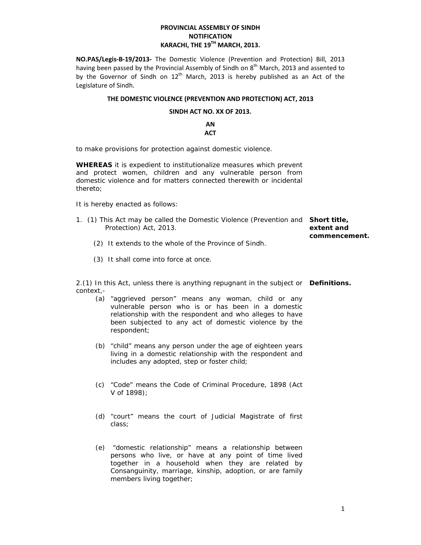# **PROVINCIAL ASSEMBLY OF SINDH NOTIFICATION KARACHI, THE 19TH MARCH, 2013.**

**NO.PAS/Legis‐B‐19/2013‐**  The Domestic Violence (Prevention and Protection) Bill, 2013 having been passed by the Provincial Assembly of Sindh on 8<sup>th</sup> March, 2013 and assented to by the Governor of Sindh on  $12<sup>th</sup>$  March, 2013 is hereby published as an Act of the Legislature of Sindh.

## **THE DOMESTIC VIOLENCE (PREVENTION AND PROTECTION) ACT, 2013**

## **SINDH ACT NO. XX OF 2013.**

**AN ACT**

to make provisions for protection against domestic violence.

**WHEREAS** it is expedient to institutionalize measures which prevent and protect women, children and any vulnerable person from domestic violence and for matters connected therewith or incidental thereto;

It is hereby enacted as follows:

- 1. (1) This Act may be called the Domestic Violence (Prevention and **Short title,**  Protection) Act, 2013. **extent and commencement.**
	- (2) It extends to the whole of the Province of Sindh.
	- (3) It shall come into force at once.

2.(1) In this Act, unless there is anything repugnant in the subject or **Definitions.** context,-

- (a) "aggrieved person" means any woman, child or any vulnerable person who is or has been in a domestic relationship with the respondent and who alleges to have been subjected to any act of domestic violence by the respondent;
- (b) "child" means any person under the age of eighteen years living in a domestic relationship with the respondent and includes any adopted, step or foster child;
- (c) "Code" means the Code of Criminal Procedure, 1898 (Act V of 1898);
- (d) "court" means the court of Judicial Magistrate of first class;
- (e) "domestic relationship" means a relationship between persons who live, or have at any point of time lived together in a household when they are related by Consanguinity, marriage, kinship, adoption, or are family members living together;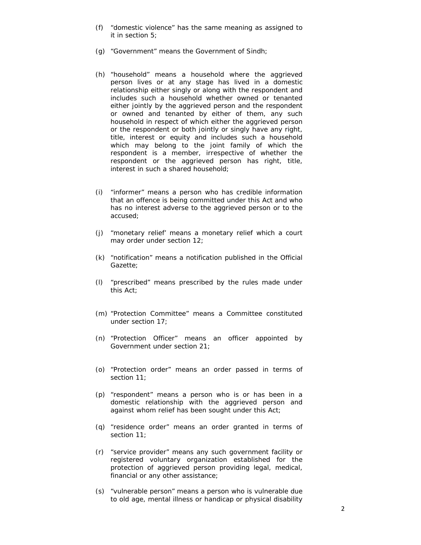- (f) "domestic violence" has the same meaning as assigned to it in section 5;
- (g) "Government" means the Government of Sindh;
- (h) "household" means a household where the aggrieved person lives or at any stage has lived in a domestic relationship either singly or along with the respondent and includes such a household whether owned or tenanted either jointly by the aggrieved person and the respondent or owned and tenanted by either of them, any such household in respect of which either the aggrieved person or the respondent or both jointly or singly have any right, title, interest or equity and includes such a household which may belong to the joint family of which the respondent is a member, irrespective of whether the respondent or the aggrieved person has right, title, interest in such a shared household;
- (i) "informer" means a person who has credible information that an offence is being committed under this Act and who has no interest adverse to the aggrieved person or to the accused;
- (j) "monetary relief' means a monetary relief which a court may order under section 12;
- (k) "notification" means a notification published in the Official Gazette;
- (l) "prescribed" means prescribed by the rules made under this Act;
- (m) "Protection Committee" means a Committee constituted under section 17;
- (n) "Protection Officer" means an officer appointed by Government under section 21;
- (o) "Protection order" means an order passed in terms of section 11;
- (p) "respondent" means a person who is or has been in a domestic relationship with the aggrieved person and against whom relief has been sought under this Act;
- (q) "residence order" means an order granted in terms of section 11;
- (r) "service provider" means any such government facility or registered voluntary organization established for the protection of aggrieved person providing legal, medical, financial or any other assistance;
- (s) "vulnerable person" means a person who is vulnerable due to old age, mental illness or handicap or physical disability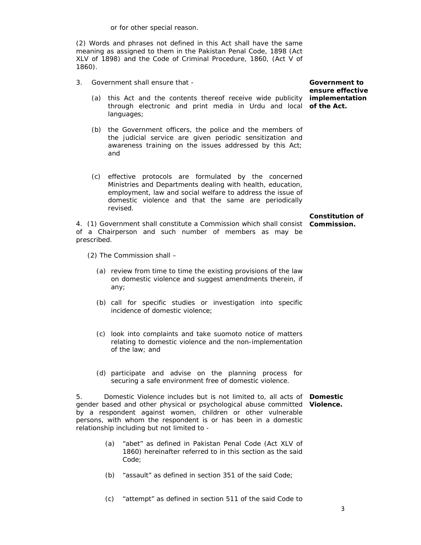or for other special reason.

(2) Words and phrases not defined in this Act shall have the same meaning as assigned to them in the Pakistan Penal Code, 1898 (Act XLV of 1898) and the Code of Criminal Procedure, 1860, (Act V of 1860).

- 3. Government shall ensure that
	- (a) this Act and the contents thereof receive wide publicity **implementation**  through electronic and print media in Urdu and local **of the Act.**  languages;
	- (b) the Government officers, the police and the members of the judicial service are given periodic sensitization and awareness training on the issues addressed by this Act; and
	- (c) effective protocols are formulated by the concerned Ministries and Departments dealing with health, education, employment, law and social welfare to address the issue of domestic violence and that the same are periodically revised.

of a Chairperson and such number of members as may be

4. (1) Government shall constitute a Commission which shall consist **Commission. Constitution of** 

(2) The Commission shall –

prescribed.

- (a) review from time to time the existing provisions of the law on domestic violence and suggest amendments therein, if any;
- (b) call for specific studies or investigation into specific incidence of domestic violence;
- (c) look into complaints and take *suomoto* notice of matters relating to domestic violence and the non-implementation of the law; and
- (d) participate and advise on the planning process for securing a safe environment free of domestic violence.

5. Domestic Violence includes but is not limited to, all acts of **Domestic**  gender based and other physical or psychological abuse committed **Violence.** by a respondent against women, children or other vulnerable persons, with whom the respondent is or has been in a domestic relationship including but not limited to -

- (a) "abet" as defined in Pakistan Penal Code (Act XLV of 1860) hereinafter referred to in this section as the said Code;
- (b) "assault" as defined in section 351 of the said Code;
- (c) "attempt" as defined in section 511 of the said Code to

**Government to ensure effective**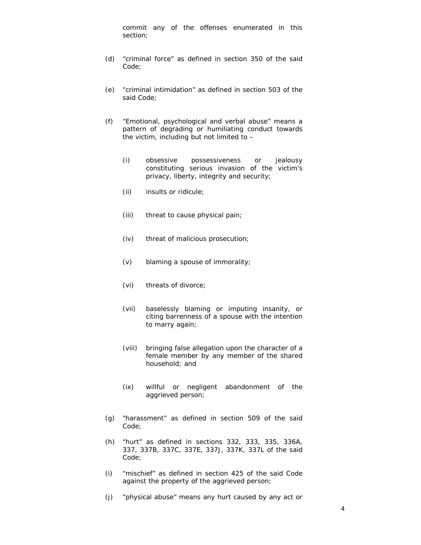commit any of the offenses enumerated in this section;

- (d) "criminal force" as defined in section 350 of the said Code;
- (e) "criminal intimidation" as defined in section 503 of the said Code;
- (f) "Emotional, psychological and verbal abuse" means a pattern of degrading or humiliating conduct towards the victim, including but not limited to –
	- (i) obsessive possessiveness or jealousy constituting serious invasion of the victim's privacy, liberty, integrity and security;
	- (ii) insults or ridicule;
	- (iii) threat to cause physical pain;
	- (iv) threat of malicious prosecution;
	- (v) blaming a spouse of immorality;
	- (vi) threats of divorce;
	- (vii) baselessly blaming or imputing insanity, or citing barrenness of a spouse with the intention to marry again;
	- (viii) bringing false allegation upon the character of a female member by any member of the shared household; and
	- (ix) willful or negligent abandonment of the aggrieved person;
- (g) "harassment" as defined in section 509 of the said Code;
- (h) "hurt" as defined in sections 332, 333, 335, 336A, 337, 337B, 337C, 337E, 337J, 337K, 337L of the said Code;
- (i) "mischief" as defined in section 425 of the said Code against the property of the aggrieved person;
- (j) "physical abuse" means any hurt caused by any act or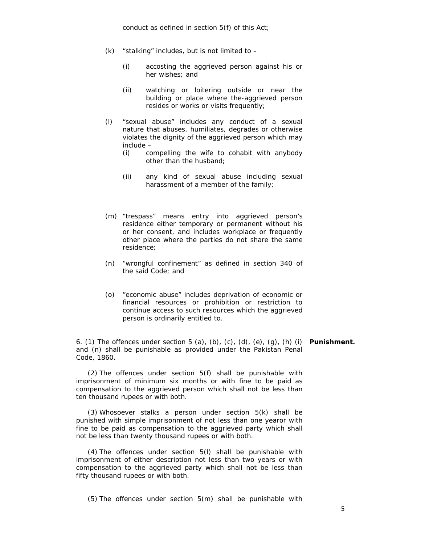- $(k)$  "stalking" includes, but is not limited to  $-$ 
	- (i) accosting the aggrieved person against his or her wishes; and
	- (ii) watching or loitering outside or near the building or place where the-aggrieved person resides or works or visits frequently;
- (l) "sexual abuse" includes any conduct of a sexual nature that abuses, humiliates, degrades or otherwise violates the dignity of the aggrieved person which may include –
	- (i) compelling the wife to cohabit with anybody other than the husband;
	- (ii) any kind of sexual abuse including sexual harassment of a member of the family;
- (m) "trespass" means entry into aggrieved person's residence either temporary or permanent without his or her consent, and includes workplace or frequently other place where the parties do not share the same residence;
- (n) "wrongful confinement" as defined in section 340 of the said Code; and
- (o) "economic abuse" includes deprivation of economic or financial resources or prohibition or restriction to continue access to such resources which the aggrieved person is ordinarily entitled to.

6. (1) The offences under section 5 (a), (b), (c), (d), (e), (g), (h) (i) **Punishment.**and (n) shall be punishable as provided under the Pakistan Penal Code, 1860.

(2) The offences under section 5(f) shall be punishable with imprisonment of minimum six months or with fine to be paid as compensation to the aggrieved person which shall not be less than ten thousand rupees or with both.

(3) Whosoever stalks a person under section 5(k) shall be punished with simple imprisonment of not less than one yearor with fine to be paid as compensation to the aggrieved party which shall not be less than twenty thousand rupees or with both.

(4) The offences under section 5(l) shall be punishable with imprisonment of either description not less than two years or with compensation to the aggrieved party which shall not be less than fifty thousand rupees or with both.

(5) The offences under section 5(m) shall be punishable with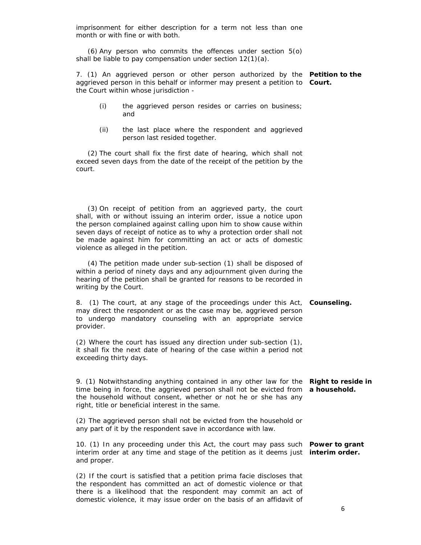imprisonment for either description for a term not less than one month or with fine or with both.

(6) Any person who commits the offences under section 5(o) shall be liable to pay compensation under section 12(1)(a).

7. (1) An aggrieved person or other person authorized by the **Petition to the**  aggrieved person in this behalf or informer may present a petition to **Court.**  the Court within whose jurisdiction -

- (i) the aggrieved person resides or carries on business; and
- (ii) the last place where the respondent and aggrieved person last resided together.

(2) The court shall fix the first date of hearing, which shall not exceed seven days from the date of the receipt of the petition by the court.

(3) On receipt of petition from an aggrieved party, the court shall, with or without issuing an interim order, issue a notice upon the person complained against calling upon him to show cause within seven days of receipt of notice as to why a protection order shall not be made against him for committing an act or acts of domestic violence as alleged in the petition.

(4) The petition made under sub-section (1) shall be disposed of within a period of ninety days and any adjournment given during the hearing of the petition shall be granted for reasons to be recorded in writing by the Court.

8. (1) The court, at any stage of the proceedings under this Act, **Counseling.** may direct the respondent or as the case may be, aggrieved person to undergo mandatory counseling with an appropriate service provider.

(2) Where the court has issued any direction under sub-section (1), it shall fix the next date of hearing of the case within a period not exceeding thirty days.

9. (1) Notwithstanding anything contained in any other law for the **Right to reside in**  time being in force, the aggrieved person shall not be evicted from **a household.**  the household without consent, whether or not he or she has any right, title or beneficial interest in the same.

(2) The aggrieved person shall not be evicted from the household or any part of it by the respondent save in accordance with law.

10. (1) In any proceeding under this Act, the court may pass such **Power to grant**  interim order at any time and stage of the petition as it deems just **interim order.** and proper.

(2) If the court is satisfied that a petition *prima facie* discloses that the respondent has committed an act of domestic violence or that there is a likelihood that the respondent may commit an act of domestic violence, it may issue order on the basis of an affidavit of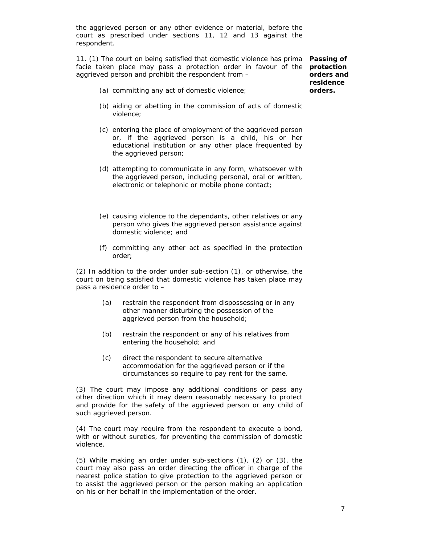the aggrieved person or any other evidence or material, before the court as prescribed under sections 11, 12 and 13 against the respondent.

11. (1) The court on being satisfied that domestic violence has *prima* **Passing of**  *facie* taken place may pass a protection order in favour of the **protection**  aggrieved person and prohibit the respondent from –

**orders and residence orders.** 

- (a) committing any act of domestic violence;
- (b) aiding or abetting in the commission of acts of domestic violence;
- (c) entering the place of employment of the aggrieved person or, if the aggrieved person is a child, his or her educational institution or any other place frequented by the aggrieved person;
- (d) attempting to communicate in any form, whatsoever with the aggrieved person, including personal, oral or written, electronic or telephonic or mobile phone contact;
- (e) causing violence to the dependants, other relatives or any person who gives the aggrieved person assistance against domestic violence; and
- (f) committing any other act as specified in the protection order;

(2) In addition to the order under sub-section (1), or otherwise, the court on being satisfied that domestic violence has taken place may pass a residence order to –

- (a) restrain the respondent from dispossessing or in any other manner disturbing the possession of the aggrieved person from the household;
- (b) restrain the respondent or any of his relatives from entering the household; and
- (c) direct the respondent to secure alternative accommodation for the aggrieved person or if the circumstances so require to pay rent for the same.

(3) The court may impose any additional conditions or pass any other direction which it may deem reasonably necessary to protect and provide for the safety of the aggrieved person or any child of such aggrieved person.

(4) The court may require from the respondent to execute a bond, with or without sureties, for preventing the commission of domestic violence.

(5) While making an order under sub-sections (1), (2) or (3), the court may also pass an order directing the officer in charge of the nearest police station to give protection to the aggrieved person or to assist the aggrieved person or the person making an application on his or her behalf in the implementation of the order.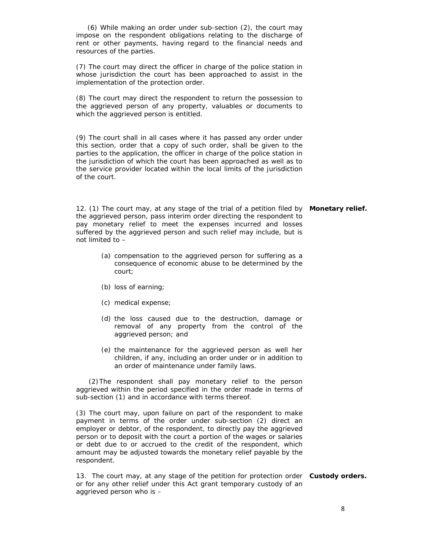(6) While making an order under sub-section (2), the court may impose on the respondent obligations relating to the discharge of rent or other payments, having regard to the financial needs and resources of the parties.

(7) The court may direct the officer in charge of the police station in whose jurisdiction the court has been approached to assist in the implementation of the protection order.

(8) The court may direct the respondent to return the possession to the aggrieved person of any property, valuables or documents to which the aggrieved person is entitled.

(9) The court shall in all cases where it has passed any order under this section, order that a copy of such order, shall be given to the parties to the application, the officer in charge of the police station in the jurisdiction of which the court has been approached as well as to the service provider located within the local limits of the jurisdiction of the court.

12. (1) The court may, at any stage of the trial of a petition filed by **Monetary relief.** the aggrieved person, pass interim order directing the respondent to pay monetary relief to meet the expenses incurred and losses suffered by the aggrieved person and such relief may include, but is not limited to –

- (a) compensation to the aggrieved person for suffering as a consequence of economic abuse to be determined by the court;
- (b) loss of earning;
- (c) medical expense;
- (d) the loss caused due to the destruction, damage or removal of any property from the control of the aggrieved person; and
- (e) the maintenance for the aggrieved person as well her children, if any, including an order under or in addition to an order of maintenance under family laws.

(2)The respondent shall pay monetary relief to the person aggrieved within the period specified in the order made in terms of sub-section (1) and in accordance with terms thereof.

(3) The court may, upon failure on part of the respondent to make payment in terms of the order under sub-section (2) direct an employer or debtor, of the respondent, to directly pay the aggrieved person or to deposit with the court a portion of the wages or salaries or debt due to or accrued to the credit of the respondent, which amount may be adjusted towards the monetary relief payable by the respondent.

13. The court may, at any stage of the petition for protection order **Custody orders.** or for any other relief under this Act grant temporary custody of an aggrieved person who is –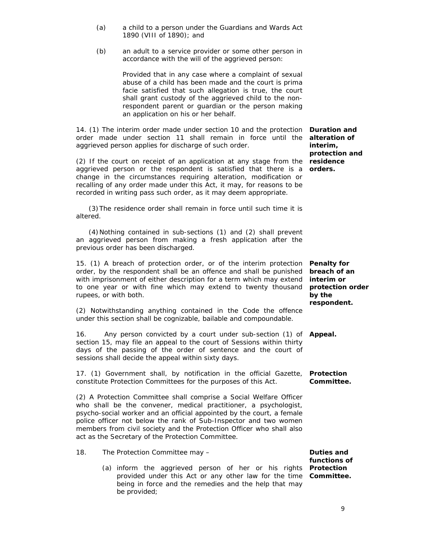- (a) a child to a person under the Guardians and Wards Act 1890 (VIII of 1890); and
- (b) an adult to a service provider or some other person in accordance with the will of the aggrieved person:

Provided that in any case where a complaint of sexual abuse of a child has been made and the court is prima facie satisfied that such allegation is true, the court shall grant custody of the aggrieved child to the nonrespondent parent or guardian or the person making an application on his or her behalf.

14. (1) The interim order made under section 10 and the protection **Duration and**  order made under section 11 shall remain in force until the aggrieved person applies for discharge of such order.

(2) If the court on receipt of an application at any stage from the aggrieved person or the respondent is satisfied that there is a change in the circumstances requiring alteration, modification or recalling of any order made under this Act, it may, for reasons to be recorded in writing pass such order, as it may deem appropriate.

(3)The residence order shall remain in force until such time it is altered.

(4)Nothing contained in sub-sections (1) and (2) shall prevent an aggrieved person from making a fresh application after the previous order has been discharged.

15. (1) A breach of protection order, or of the interim protection order, by the respondent shall be an offence and shall be punished with imprisonment of either description for a term which may extend to one year or with fine which may extend to twenty thousand rupees, or with both.

(2) Notwithstanding anything contained in the Code the offence under this section shall be cognizable, bailable and compoundable.

16. Any person convicted by a court under sub-section (1) of **Appeal.**  section 15, may file an appeal to the court of Sessions within thirty days of the passing of the order of sentence and the court of sessions shall decide the appeal within sixty days.

17. (1) Government shall, by notification in the official Gazette, **Protection**  constitute Protection Committees for the purposes of this Act.

(2) A Protection Committee shall comprise a Social Welfare Officer who shall be the convener, medical practitioner, a psychologist, psycho-social worker and an official appointed by the court, a female police officer not below the rank of Sub-Inspector and two women members from civil society and the Protection Officer who shall also act as the Secretary of the Protection Committee.

- 18. The Protection Committee may
	- (a) inform the aggrieved person of her or his rights **Protection**  provided under this Act or any other law for the time **Committee.** being in force and the remedies and the help that may be provided;

**alteration of interim, protection and residence orders.** 

**Penalty for breach of an interim or protection order by the respondent.** 

**Committee.** 

**Duties and functions of**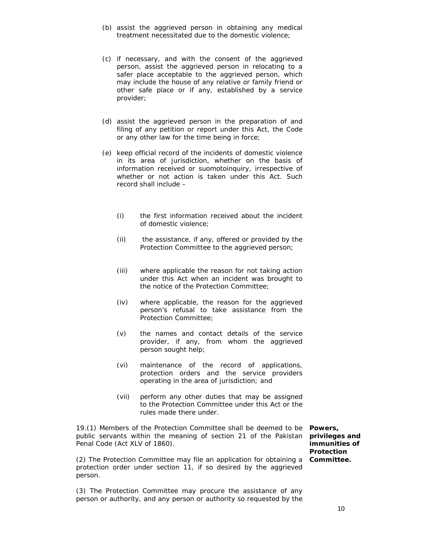- (b) assist the aggrieved person in obtaining any medical treatment necessitated due to the domestic violence;
- (c) if necessary, and with the consent of the aggrieved person, assist the aggrieved person in relocating to a safer place acceptable to the aggrieved person, which may include the house of any relative or family friend or other safe place or if any, established by a service provider;
- (d) assist the aggrieved person in the preparation of and filing of any petition or report under this Act, the Code or any other law for the time being in force;
- (e) keep official record of the incidents of domestic violence in its area of jurisdiction, whether on the basis of information received or *suomoto*inquiry, irrespective of whether or not action is taken under this Act. Such record shall include –
	- (i) the first information received about the incident of domestic violence;
	- (ii) the assistance, if any, offered or provided by the Protection Committee to the aggrieved person;
	- (iii) where applicable the reason for not taking action under this Act when an incident was brought to the notice of the Protection Committee;
	- (iv) where applicable, the reason for the aggrieved person's refusal to take assistance from the Protection Committee;
	- (v) the names and contact details of the service provider, if any, from whom the aggrieved person sought help;
	- (vi) maintenance of the record of applications, protection orders and the service providers operating in the area of jurisdiction; and
	- (vii) perform any other duties that may be assigned to the Protection Committee under this Act or the rules made there under.

19.(1) Members of the Protection Committee shall be deemed to be **Powers,**  public servants within the meaning of section 21 of the Pakistan Penal Code (Act XLV of 1860).

(2) The Protection Committee may file an application for obtaining a **Committee.** protection order under section 11, if so desired by the aggrieved person.

(3) The Protection Committee may procure the assistance of any person or authority, and any person or authority so requested by the

**privileges and immunities of Protection**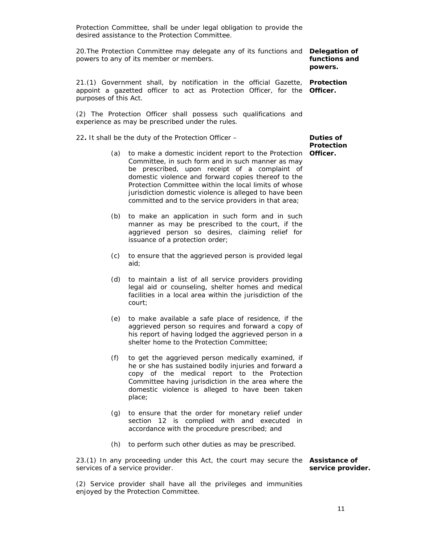Protection Committee, shall be under legal obligation to provide the desired assistance to the Protection Committee.

20.The Protection Committee may delegate any of its functions and **Delegation of**  powers to any of its member or members.

**functions and powers.** 

21.(1) Government shall, by notification in the official Gazette, **Protection**  appoint a gazetted officer to act as Protection Officer, for the **Officer.**  purposes of this Act.

(2) The Protection Officer shall possess such qualifications and experience as may be prescribed under the rules.

22**.** It shall be the duty of the Protection Officer –

- (a) to make a domestic incident report to the Protection **Officer.**  Committee, in such form and in such manner as may be prescribed, upon receipt of a complaint of domestic violence and forward copies thereof to the Protection Committee within the local limits of whose jurisdiction domestic violence is alleged to have been committed and to the service providers in that area;
- (b) to make an application in such form and in such manner as may be prescribed to the court, if the aggrieved person so desires, claiming relief for issuance of a protection order;
- (c) to ensure that the aggrieved person is provided legal aid;
- (d) to maintain a list of all service providers providing legal aid or counseling, shelter homes and medical facilities in a local area within the jurisdiction of the court;
- (e) to make available a safe place of residence, if the aggrieved person so requires and forward a copy of his report of having lodged the aggrieved person in a shelter home to the Protection Committee;
- (f) to get the aggrieved person medically examined, if he or she has sustained bodily injuries and forward a copy of the medical report to the Protection Committee having jurisdiction in the area where the domestic violence is alleged to have been taken place;
- (g) to ensure that the order for monetary relief under section 12 is complied with and executed in accordance with the procedure prescribed; and
- (h) to perform such other duties as may be prescribed.

23.(1) In any proceeding under this Act, the court may secure the **Assistance of**  services of a service provider. **service provider.** 

(2) Service provider shall have all the privileges and immunities enjoyed by the Protection Committee.

**Duties of Protection**